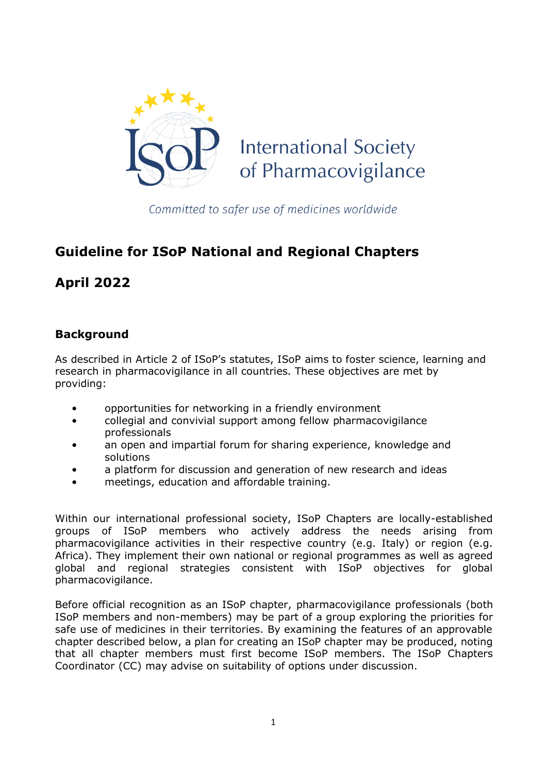

Committed to safer use of medicines worldwide

# **Guideline for ISoP National and Regional Chapters**

**April 2022**

# **Background**

As described in Article 2 of ISoP's statutes, ISoP aims to foster science, learning and research in pharmacovigilance in all countries. These objectives are met by providing:

- opportunities for networking in a friendly environment
- collegial and convivial support among fellow pharmacovigilance professionals
- an open and impartial forum for sharing experience, knowledge and solutions
- a platform for discussion and generation of new research and ideas
- meetings, education and affordable training.

Within our international professional society, ISoP Chapters are locally-established groups of ISoP members who actively address the needs arising from pharmacovigilance activities in their respective country (e.g. Italy) or region (e.g. Africa). They implement their own national or regional programmes as well as agreed global and regional strategies consistent with ISoP objectives for global pharmacovigilance.

Before official recognition as an ISoP chapter, pharmacovigilance professionals (both ISoP members and non-members) may be part of a group exploring the priorities for safe use of medicines in their territories. By examining the features of an approvable chapter described below, a plan for creating an ISoP chapter may be produced, noting that all chapter members must first become ISoP members. The ISoP Chapters Coordinator (CC) may advise on suitability of options under discussion.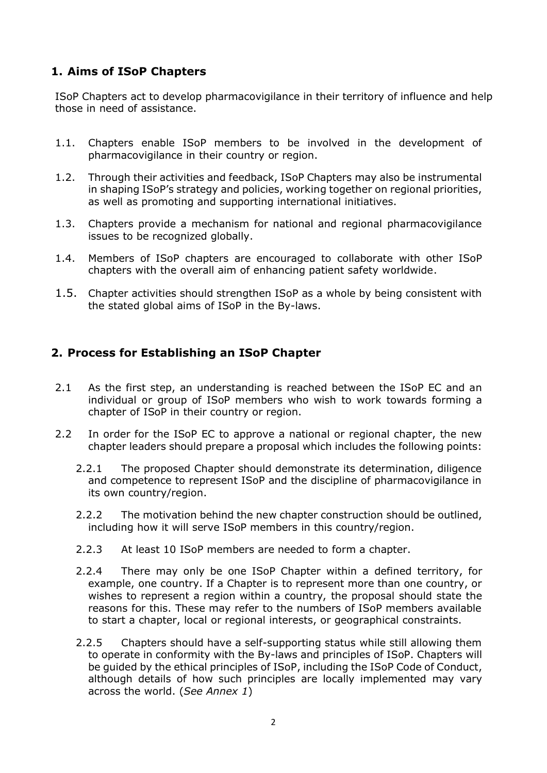# **1. Aims of ISoP Chapters**

ISoP Chapters act to develop pharmacovigilance in their territory of influence and help those in need of assistance.

- 1.1. Chapters enable ISoP members to be involved in the development of pharmacovigilance in their country or region.
- 1.2. Through their activities and feedback, ISoP Chapters may also be instrumental in shaping ISoP's strategy and policies, working together on regional priorities, as well as promoting and supporting international initiatives.
- 1.3. Chapters provide a mechanism for national and regional pharmacovigilance issues to be recognized globally.
- 1.4. Members of ISoP chapters are encouraged to collaborate with other ISoP chapters with the overall aim of enhancing patient safety worldwide.
- 1.5. Chapter activities should strengthen ISoP as a whole by being consistent with the stated global aims of ISoP in the By-laws.

## **2. Process for Establishing an ISoP Chapter**

- 2.1 As the first step, an understanding is reached between the ISoP EC and an individual or group of ISoP members who wish to work towards forming a chapter of ISoP in their country or region.
- 2.2 In order for the ISoP EC to approve a national or regional chapter, the new chapter leaders should prepare a proposal which includes the following points:
	- 2.2.1 The proposed Chapter should demonstrate its determination, diligence and competence to represent ISoP and the discipline of pharmacovigilance in its own country/region.
	- 2.2.2 The motivation behind the new chapter construction should be outlined, including how it will serve ISoP members in this country/region.
	- 2.2.3 At least 10 ISoP members are needed to form a chapter.
	- 2.2.4 There may only be one ISoP Chapter within a defined territory, for example, one country. If a Chapter is to represent more than one country, or wishes to represent a region within a country, the proposal should state the reasons for this. These may refer to the numbers of ISoP members available to start a chapter, local or regional interests, or geographical constraints.
	- 2.2.5 Chapters should have a self-supporting status while still allowing them to operate in conformity with the By-laws and principles of ISoP. Chapters will be guided by the ethical principles of ISoP, including the ISoP Code of Conduct, although details of how such principles are locally implemented may vary across the world. (*See Annex 1*)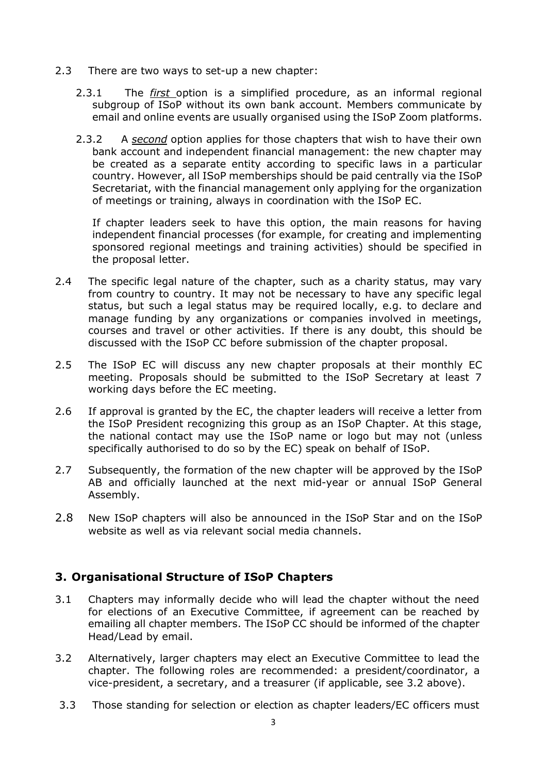- 2.3 There are two ways to set-up a new chapter:
	- 2.3.1 The *first* option is a simplified procedure, as an informal regional subgroup of ISoP without its own bank account. Members communicate by email and online events are usually organised using the ISoP Zoom platforms.
	- 2.3.2 A *second* option applies for those chapters that wish to have their own bank account and independent financial management: the new chapter may be created as a separate entity according to specific laws in a particular country. However, all ISoP memberships should be paid centrally via the ISoP Secretariat, with the financial management only applying for the organization of meetings or training, always in coordination with the ISoP EC.

If chapter leaders seek to have this option, the main reasons for having independent financial processes (for example, for creating and implementing sponsored regional meetings and training activities) should be specified in the proposal letter.

- 2.4 The specific legal nature of the chapter, such as a charity status, may vary from country to country. It may not be necessary to have any specific legal status, but such a legal status may be required locally, e.g. to declare and manage funding by any organizations or companies involved in meetings, courses and travel or other activities. If there is any doubt, this should be discussed with the ISoP CC before submission of the chapter proposal.
- 2.5 The ISoP EC will discuss any new chapter proposals at their monthly EC meeting. Proposals should be submitted to the ISoP Secretary at least 7 working days before the EC meeting.
- 2.6 If approval is granted by the EC, the chapter leaders will receive a letter from the ISoP President recognizing this group as an ISoP Chapter. At this stage, the national contact may use the ISoP name or logo but may not (unless specifically authorised to do so by the EC) speak on behalf of ISoP.
- 2.7 Subsequently, the formation of the new chapter will be approved by the ISoP AB and officially launched at the next mid-year or annual ISoP General Assembly.
- 2.8 New ISoP chapters will also be announced in the ISoP Star and on the ISoP website as well as via relevant social media channels.

### **3. Organisational Structure of ISoP Chapters**

- 3.1 Chapters may informally decide who will lead the chapter without the need for elections of an Executive Committee, if agreement can be reached by emailing all chapter members. The ISoP CC should be informed of the chapter Head/Lead by email.
- 3.2 Alternatively, larger chapters may elect an Executive Committee to lead the chapter. The following roles are recommended: a president/coordinator, a vice-president, a secretary, and a treasurer (if applicable, see 3.2 above).
- 3.3 Those standing for selection or election as chapter leaders/EC officers must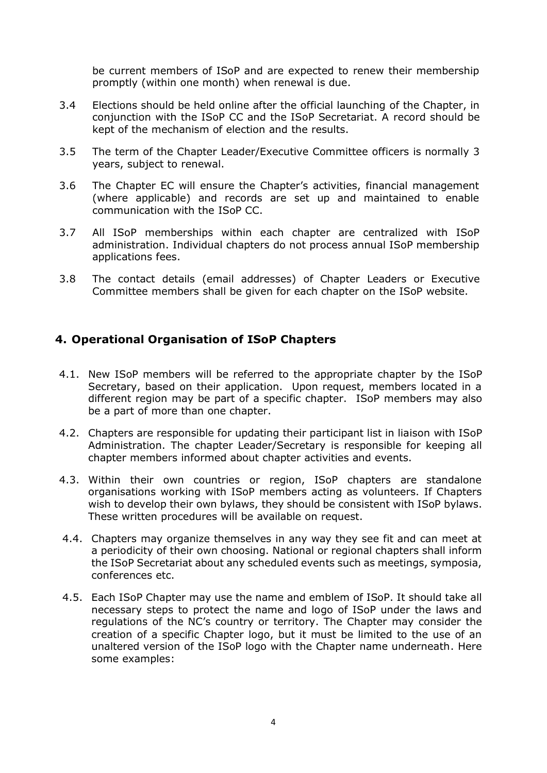be current members of ISoP and are expected to renew their membership promptly (within one month) when renewal is due.

- 3.4 Elections should be held online after the official launching of the Chapter, in conjunction with the ISoP CC and the ISoP Secretariat. A record should be kept of the mechanism of election and the results.
- 3.5 The term of the Chapter Leader/Executive Committee officers is normally 3 years, subject to renewal.
- 3.6 The Chapter EC will ensure the Chapter's activities, financial management (where applicable) and records are set up and maintained to enable communication with the ISoP CC.
- 3.7 All ISoP memberships within each chapter are centralized with ISoP administration. Individual chapters do not process annual ISoP membership applications fees.
- 3.8 The contact details (email addresses) of Chapter Leaders or Executive Committee members shall be given for each chapter on the ISoP website.

### **4. Operational Organisation of ISoP Chapters**

- 4.1. New ISoP members will be referred to the appropriate chapter by the ISoP Secretary, based on their application. Upon request, members located in a different region may be part of a specific chapter. ISoP members may also be a part of more than one chapter.
- 4.2. Chapters are responsible for updating their participant list in liaison with ISoP Administration. The chapter Leader/Secretary is responsible for keeping all chapter members informed about chapter activities and events.
- 4.3. Within their own countries or region, ISoP chapters are standalone organisations working with ISoP members acting as volunteers. If Chapters wish to develop their own bylaws, they should be consistent with ISoP bylaws. These written procedures will be available on request.
- 4.4. Chapters may organize themselves in any way they see fit and can meet at a periodicity of their own choosing. National or regional chapters shall inform the ISoP Secretariat about any scheduled events such as meetings, symposia, conferences etc.
- 4.5. Each ISoP Chapter may use the name and emblem of ISoP. It should take all necessary steps to protect the name and logo of ISoP under the laws and regulations of the NC's country or territory. The Chapter may consider the creation of a specific Chapter logo, but it must be limited to the use of an unaltered version of the ISoP logo with the Chapter name underneath. Here some examples: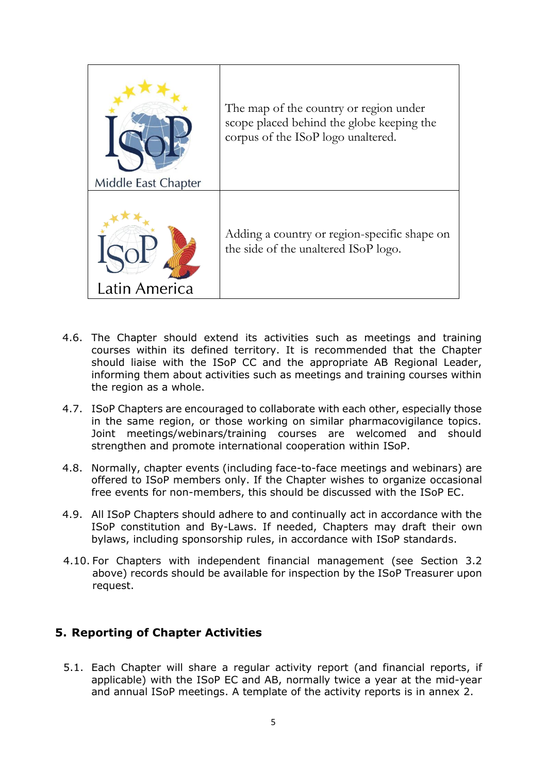

- 4.6. The Chapter should extend its activities such as meetings and training courses within its defined territory. It is recommended that the Chapter should liaise with the ISoP CC and the appropriate AB Regional Leader, informing them about activities such as meetings and training courses within the region as a whole.
- 4.7. ISoP Chapters are encouraged to collaborate with each other, especially those in the same region, or those working on similar pharmacovigilance topics. Joint meetings/webinars/training courses are welcomed and should strengthen and promote international cooperation within ISoP.
- 4.8. Normally, chapter events (including face-to-face meetings and webinars) are offered to ISoP members only. If the Chapter wishes to organize occasional free events for non-members, this should be discussed with the ISoP EC.
- 4.9. All ISoP Chapters should adhere to and continually act in accordance with the ISoP constitution and By-Laws. If needed, Chapters may draft their own bylaws, including sponsorship rules, in accordance with ISoP standards.
- 4.10. For Chapters with independent financial management (see Section 3.2 above) records should be available for inspection by the ISoP Treasurer upon request.

### **5. Reporting of Chapter Activities**

5.1. Each Chapter will share a regular activity report (and financial reports, if applicable) with the ISoP EC and AB, normally twice a year at the mid-year and annual ISoP meetings. A template of the activity reports is in annex 2.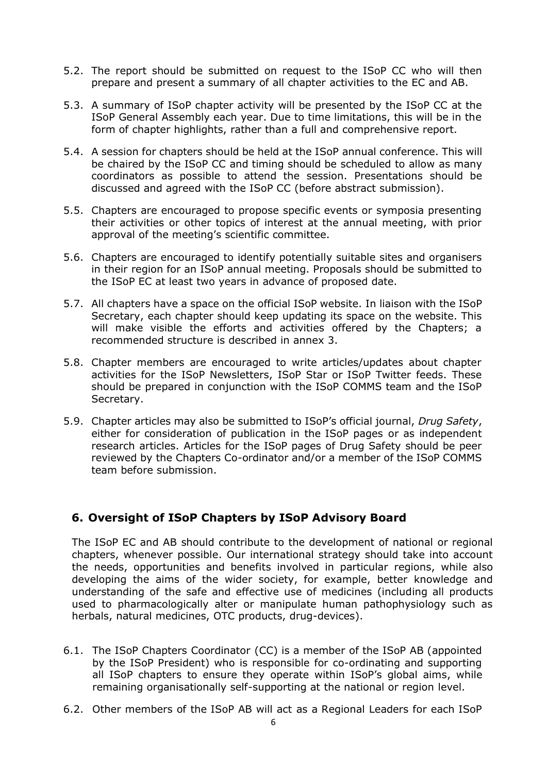- 5.2. The report should be submitted on request to the ISoP CC who will then prepare and present a summary of all chapter activities to the EC and AB.
- 5.3. A summary of ISoP chapter activity will be presented by the ISoP CC at the ISoP General Assembly each year. Due to time limitations, this will be in the form of chapter highlights, rather than a full and comprehensive report.
- 5.4. A session for chapters should be held at the ISoP annual conference. This will be chaired by the ISoP CC and timing should be scheduled to allow as many coordinators as possible to attend the session. Presentations should be discussed and agreed with the ISoP CC (before abstract submission).
- 5.5. Chapters are encouraged to propose specific events or symposia presenting their activities or other topics of interest at the annual meeting, with prior approval of the meeting's scientific committee.
- 5.6. Chapters are encouraged to identify potentially suitable sites and organisers in their region for an ISoP annual meeting. Proposals should be submitted to the ISoP EC at least two years in advance of proposed date.
- 5.7. All chapters have a space on the official ISoP website. In liaison with the ISoP Secretary, each chapter should keep updating its space on the website. This will make visible the efforts and activities offered by the Chapters; a recommended structure is described in annex 3.
- 5.8. Chapter members are encouraged to write articles/updates about chapter activities for the ISoP Newsletters, ISoP Star or ISoP Twitter feeds. These should be prepared in conjunction with the ISoP COMMS team and the ISoP Secretary.
- 5.9. Chapter articles may also be submitted to ISoP's official journal, *Drug Safety*, either for consideration of publication in the ISoP pages or as independent research articles. Articles for the ISoP pages of Drug Safety should be peer reviewed by the Chapters Co-ordinator and/or a member of the ISoP COMMS team before submission.

# **6. Oversight of ISoP Chapters by ISoP Advisory Board**

The ISoP EC and AB should contribute to the development of national or regional chapters, whenever possible. Our international strategy should take into account the needs, opportunities and benefits involved in particular regions, while also developing the aims of the wider society, for example, better knowledge and understanding of the safe and effective use of medicines (including all products used to pharmacologically alter or manipulate human pathophysiology such as herbals, natural medicines, OTC products, drug-devices).

- 6.1. The ISoP Chapters Coordinator (CC) is a member of the ISoP AB (appointed by the ISoP President) who is responsible for co-ordinating and supporting all ISoP chapters to ensure they operate within ISoP's global aims, while remaining organisationally self-supporting at the national or region level.
- 6.2. Other members of the ISoP AB will act as a Regional Leaders for each ISoP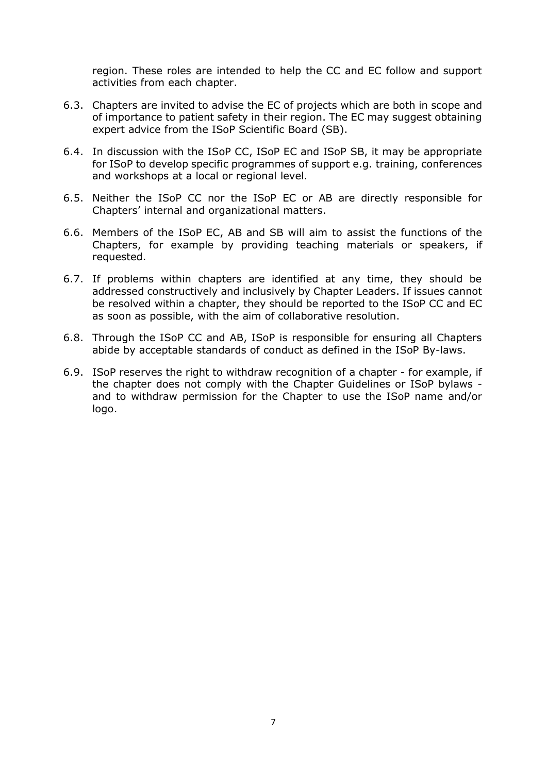region. These roles are intended to help the CC and EC follow and support activities from each chapter.

- 6.3. Chapters are invited to advise the EC of projects which are both in scope and of importance to patient safety in their region. The EC may suggest obtaining expert advice from the ISoP Scientific Board (SB).
- 6.4. In discussion with the ISoP CC, ISoP EC and ISoP SB, it may be appropriate for ISoP to develop specific programmes of support e.g. training, conferences and workshops at a local or regional level.
- 6.5. Neither the ISoP CC nor the ISoP EC or AB are directly responsible for Chapters' internal and organizational matters.
- 6.6. Members of the ISoP EC, AB and SB will aim to assist the functions of the Chapters, for example by providing teaching materials or speakers, if requested.
- 6.7. If problems within chapters are identified at any time, they should be addressed constructively and inclusively by Chapter Leaders. If issues cannot be resolved within a chapter, they should be reported to the ISoP CC and EC as soon as possible, with the aim of collaborative resolution.
- 6.8. Through the ISoP CC and AB, ISoP is responsible for ensuring all Chapters abide by acceptable standards of conduct as defined in the ISoP By-laws.
- 6.9. ISoP reserves the right to withdraw recognition of a chapter for example, if the chapter does not comply with the Chapter Guidelines or ISoP bylaws and to withdraw permission for the Chapter to use the ISoP name and/or logo.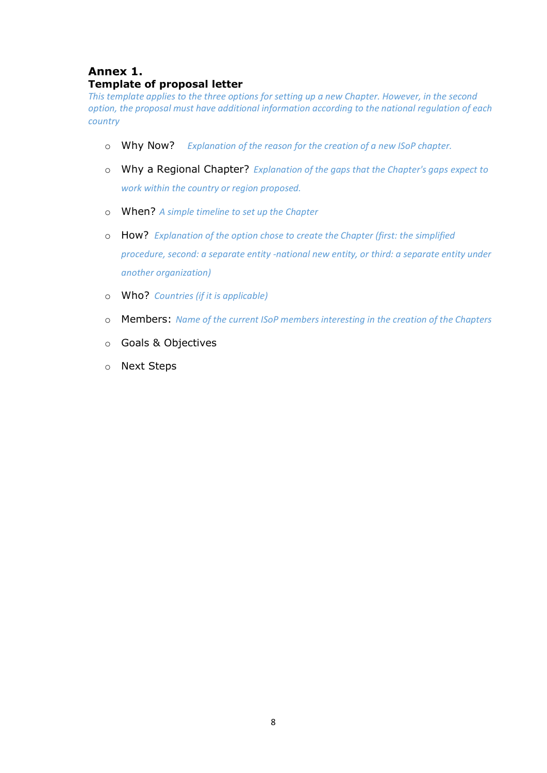# **Annex 1. Template of proposal letter**

*This template applies to the three options for setting up a new Chapter. However, in the second option, the proposal must have additional information according to the national regulation of each country* 

- o Why Now? *Explanation of the reason for the creation of a new ISoP chapter.*
- o Why a Regional Chapter? *Explanation of the gaps that the Chapter's gaps expect to work within the country or region proposed.*
- o When? *A simple timeline to set up the Chapter*
- o How? *Explanation of the option chose to create the Chapter (first: the simplified procedure, second: a separate entity -national new entity, or third: a separate entity under another organization)*
- o Who? *Countries (if it is applicable)*
- o Members: *Name of the current ISoP members interesting in the creation of the Chapters*
- o Goals & Objectives
- o Next Steps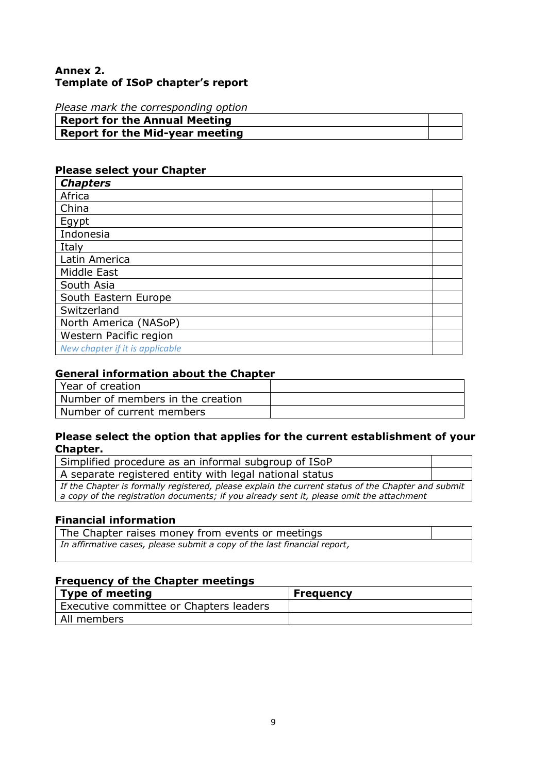#### **Annex 2. Template of ISoP chapter's report**

*Please mark the corresponding option*

| <b>Report for the Annual Meeting</b>   |  |
|----------------------------------------|--|
| <b>Report for the Mid-year meeting</b> |  |

## **Please select your Chapter**

| <b>Chapters</b>                 |  |
|---------------------------------|--|
| Africa                          |  |
| China                           |  |
| Egypt                           |  |
| Indonesia                       |  |
| Italy                           |  |
| Latin America                   |  |
| Middle East                     |  |
| South Asia                      |  |
| South Eastern Europe            |  |
| Switzerland                     |  |
| North America (NASoP)           |  |
| Western Pacific region          |  |
| New chapter if it is applicable |  |

#### **General information about the Chapter**

| Year of creation                  |  |
|-----------------------------------|--|
| Number of members in the creation |  |
| Number of current members         |  |

#### **Please select the option that applies for the current establishment of your Chapter.**

| Simplified procedure as an informal subgroup of ISoP                                               |  |  |
|----------------------------------------------------------------------------------------------------|--|--|
| A separate registered entity with legal national status                                            |  |  |
| If the Chapter is formally registered, please explain the current status of the Chapter and submit |  |  |
| a copy of the registration documents; if you already sent it, please omit the attachment           |  |  |

## **Financial information**

| The Chapter raises money from events or meetings                         |  |
|--------------------------------------------------------------------------|--|
| In affirmative cases, please submit a copy of the last financial report, |  |
|                                                                          |  |

#### **Frequency of the Chapter meetings**

| <b>Type of meeting</b>                  | <b>Frequency</b> |
|-----------------------------------------|------------------|
| Executive committee or Chapters leaders |                  |
| All members                             |                  |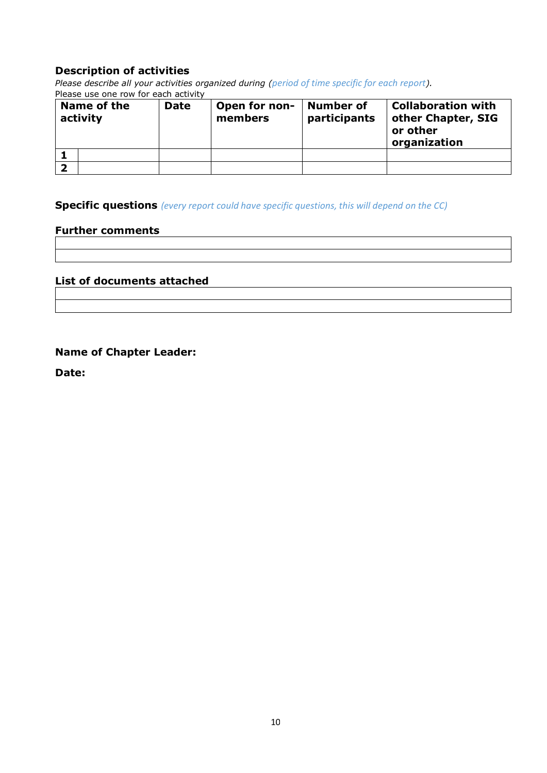#### **Description of activities**

*Please describe all your activities organized during (period of time specific for each report).* Please use one row for each activity

| Name of the<br>activity |  | <b>Date</b> | Open for non-<br>members | <b>Number of</b><br>participants | <b>Collaboration with</b><br>other Chapter, SIG<br>or other<br>organization |
|-------------------------|--|-------------|--------------------------|----------------------------------|-----------------------------------------------------------------------------|
|                         |  |             |                          |                                  |                                                                             |
|                         |  |             |                          |                                  |                                                                             |

**Specific questions** *(every report could have specific questions, this will depend on the CC)*

#### **Further comments**

## **List of documents attached**

#### **Name of Chapter Leader:**

**Date:**